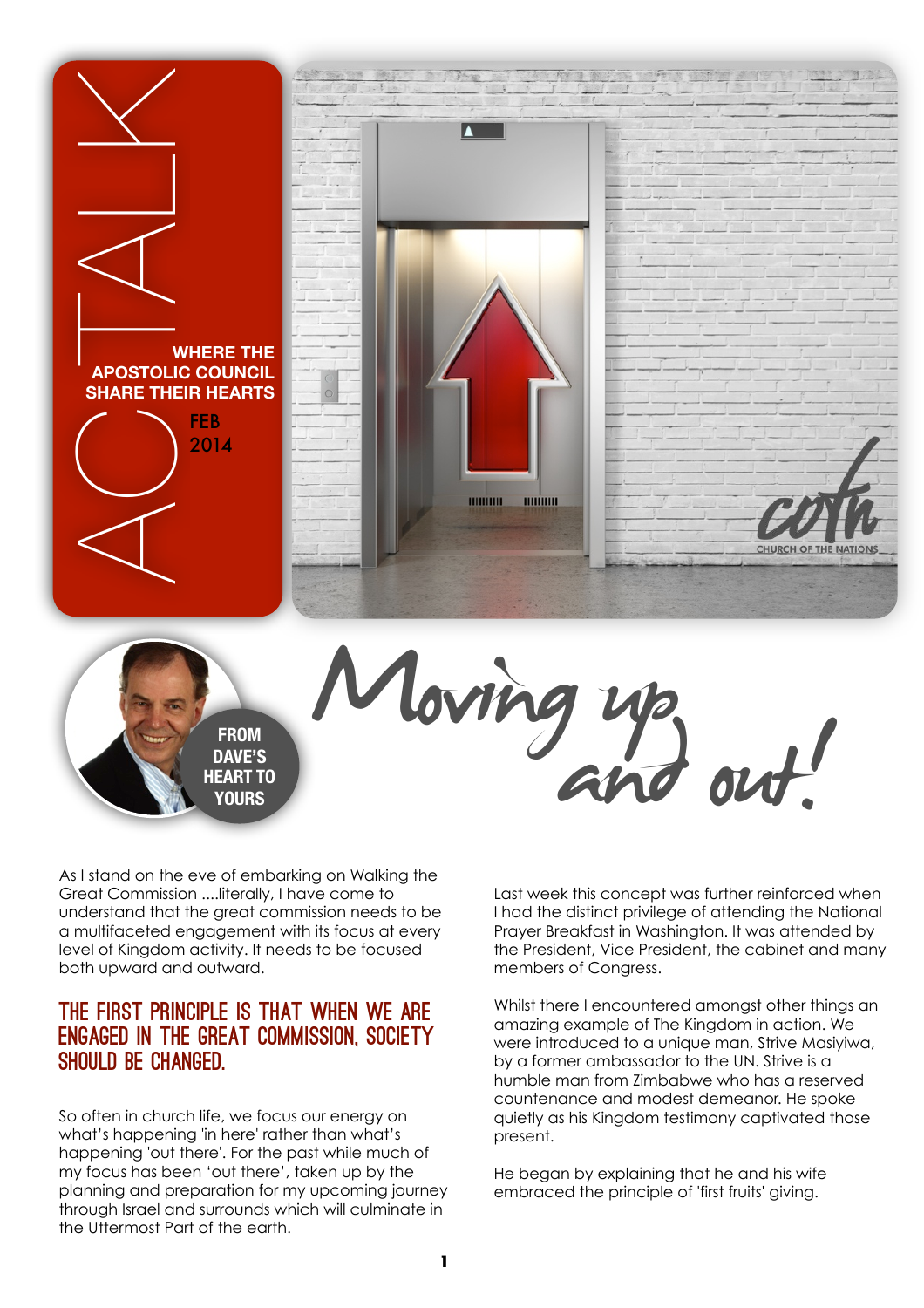



As I stand on the eve of embarking on Walking the Great Commission ....literally, I have come to understand that the great commission needs to be a multifaceted engagement with its focus at every level of Kingdom activity. It needs to be focused both upward and outward.

### The first principle is that when we are engaged in the Great Commission, society should be changed.

So often in church life, we focus our energy on what's happening 'in here' rather than what's happening 'out there'. For the past while much of my focus has been 'out there', taken up by the planning and preparation for my upcoming journey through Israel and surrounds which will culminate in the Uttermost Part of the earth.

Last week this concept was further reinforced when I had the distinct privilege of attending the National Prayer Breakfast in Washington. It was attended by the President, Vice President, the cabinet and many members of Congress.

Whilst there I encountered amongst other things an amazing example of The Kingdom in action. We were introduced to a unique man, Strive Masiyiwa, by a former ambassador to the UN. Strive is a humble man from Zimbabwe who has a reserved countenance and modest demeanor. He spoke quietly as his Kingdom testimony captivated those present.

He began by explaining that he and his wife embraced the principle of 'first fruits' giving.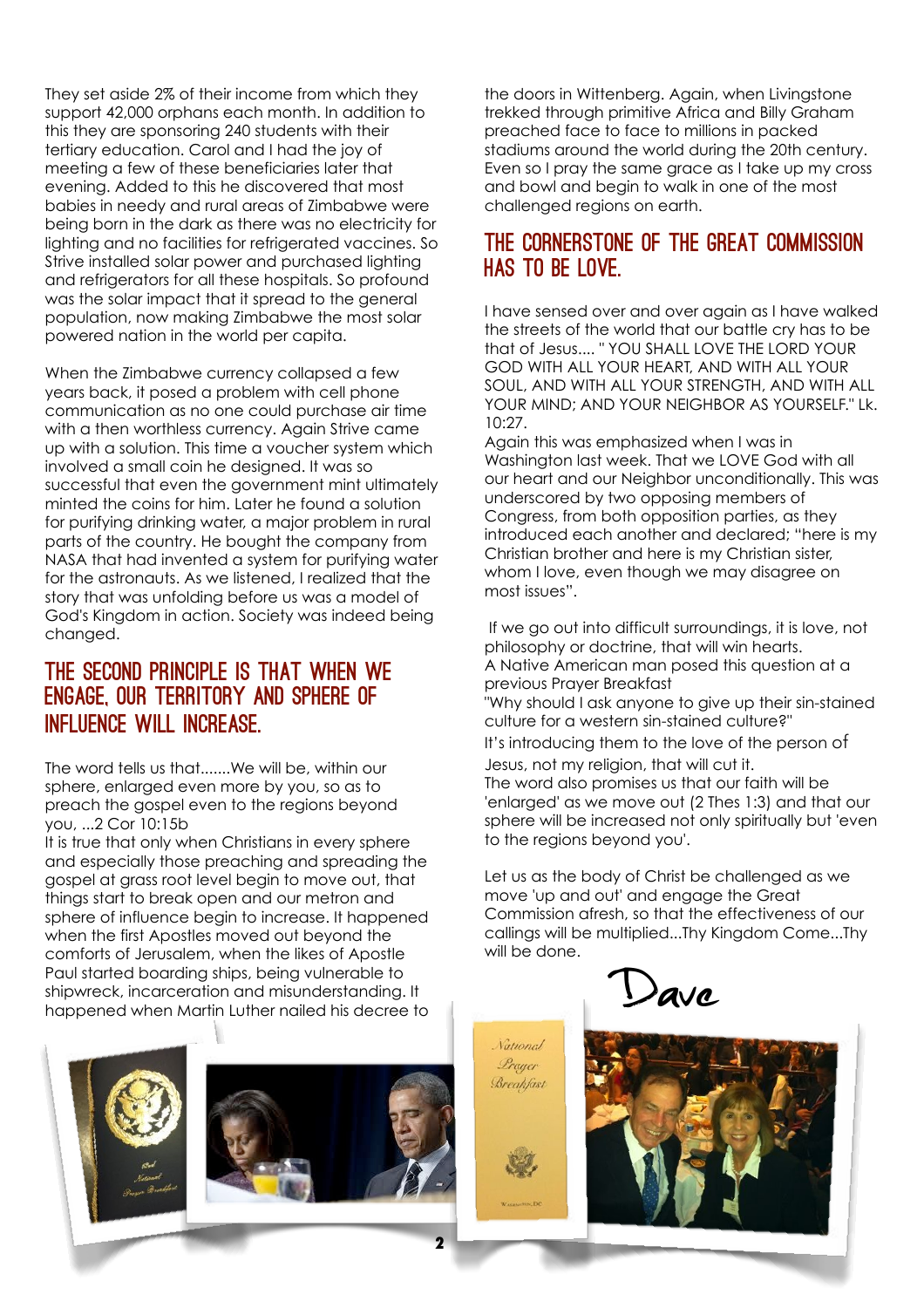They set aside 2% of their income from which they support 42,000 orphans each month. In addition to this they are sponsoring 240 students with their tertiary education. Carol and I had the joy of meeting a few of these beneficiaries later that evening. Added to this he discovered that most babies in needy and rural areas of Zimbabwe were being born in the dark as there was no electricity for lighting and no facilities for refrigerated vaccines. So Strive installed solar power and purchased lighting and refrigerators for all these hospitals. So profound was the solar impact that it spread to the general population, now making Zimbabwe the most solar powered nation in the world per capita.

When the Zimbabwe currency collapsed a few years back, it posed a problem with cell phone communication as no one could purchase air time with a then worthless currency. Again Strive came up with a solution. This time a voucher system which involved a small coin he designed. It was so successful that even the government mint ultimately minted the coins for him. Later he found a solution for purifying drinking water, a major problem in rural parts of the country. He bought the company from NASA that had invented a system for purifying water for the astronauts. As we listened, I realized that the story that was unfolding before us was a model of God's Kingdom in action. Society was indeed being changed.

## The second principle is that when we engage, our territory and sphere of influence will increase.

The word tells us that.......We will be, within our sphere, enlarged even more by you, so as to preach the gospel even to the regions beyond you, ...2 Cor 10:15b

It is true that only when Christians in every sphere and especially those preaching and spreading the gospel at grass root level begin to move out, that things start to break open and our metron and sphere of influence begin to increase. It happened when the first Apostles moved out beyond the comforts of Jerusalem, when the likes of Apostle Paul started boarding ships, being vulnerable to shipwreck, incarceration and misunderstanding. It happened when Martin Luther nailed his decree to the doors in Wittenberg. Again, when Livingstone trekked through primitive Africa and Billy Graham preached face to face to millions in packed stadiums around the world during the 20th century. Even so I pray the same grace as I take up my cross and bowl and begin to walk in one of the most challenged regions on earth.

# The cornerstone of the Great Commission HAS TO BE LOVE.

I have sensed over and over again as I have walked the streets of the world that our battle cry has to be that of Jesus.... " YOU SHALL LOVE THE LORD YOUR GOD WITH ALL YOUR HEART, AND WITH ALL YOUR SOUL, AND WITH ALL YOUR STRENGTH, AND WITH ALL YOUR MIND; AND YOUR NEIGHBOR AS YOURSELF." Lk. 10:27.

Again this was emphasized when I was in Washington last week. That we LOVE God with all our heart and our Neighbor unconditionally. This was underscored by two opposing members of Congress, from both opposition parties, as they introduced each another and declared; "here is my Christian brother and here is my Christian sister, whom I love, even though we may disagree on most issues".

 If we go out into difficult surroundings, it is love, not philosophy or doctrine, that will win hearts. A Native American man posed this question at a previous Prayer Breakfast

"Why should I ask anyone to give up their sin-stained culture for a western sin-stained culture?"

It's introducing them to the love of the person of Jesus, not my religion, that will cut it.

The word also promises us that our faith will be 'enlarged' as we move out (2 Thes 1:3) and that our sphere will be increased not only spiritually but 'even to the regions beyond you'.

Let us as the body of Christ be challenged as we move 'up and out' and engage the Great Commission afresh, so that the effectiveness of our callings will be multiplied...Thy Kingdom Come...Thy will be done.

 $\lambda$ ave

**National** Prauer Breakfast





**2**